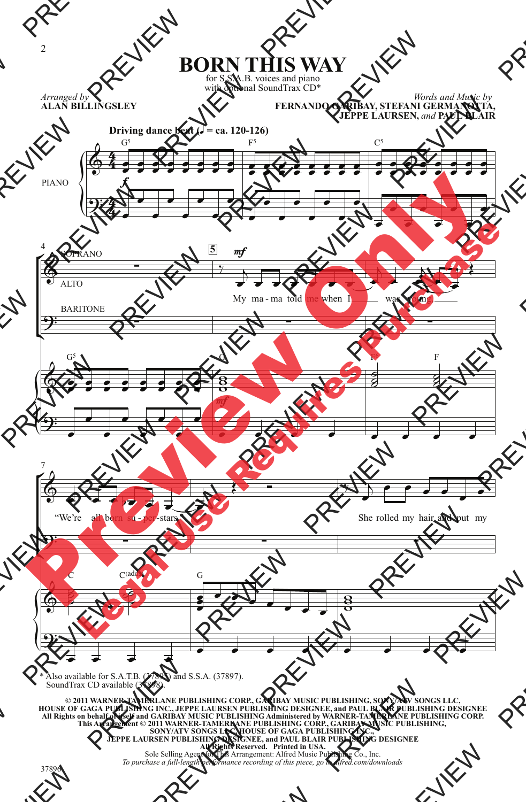**BORN THIS WAY**

for S.S.A.B. voices and piano with optional SoundTrax CD\*

*Arranged by* **ALAN BILLINGSLEY**





\* Also available for S.A.T.B. (37895) and S.S.A. (37897). SoundTrax CD available (37898).

**© 2011 WARNER-TAMERLANE PUBLISHING CORP., GARIBAY MUSIC PUBLISHING, SONY/ATV SONGS LLC, HOUSE OF GAGA PUBLISHING INC., JEPPE LAURSEN PUBLISHING DESIGNEE, and PAUL BLAIR PUBLISHING DESIGNEE All Rights on behalf of itself and GARIBAY MUSIC PUBLISHING Administered by WARNER-TAMERLANE PUBLISHING CORP. This Arrangement © 2011 WARNER-TAMERLANE PUBLISHING CORP., GARIBAY MUSIC PUBLISHING,**  SONY/ATV SONGS LLC, HOUSE OF GAGA PUBLISHING INC.,<br>JEPPE LAURSEN PUBLISHING DESIGNEE, and PAUL BLAIR PUBLISHING DESIGNEE<br>All Rights Reserved. Printed in USA.<br>Sole Selling Agent for This Arrangement: Alfred Music Publishing

*To purchase a full-length performance recording of this piece, go to alfred.com/downloads*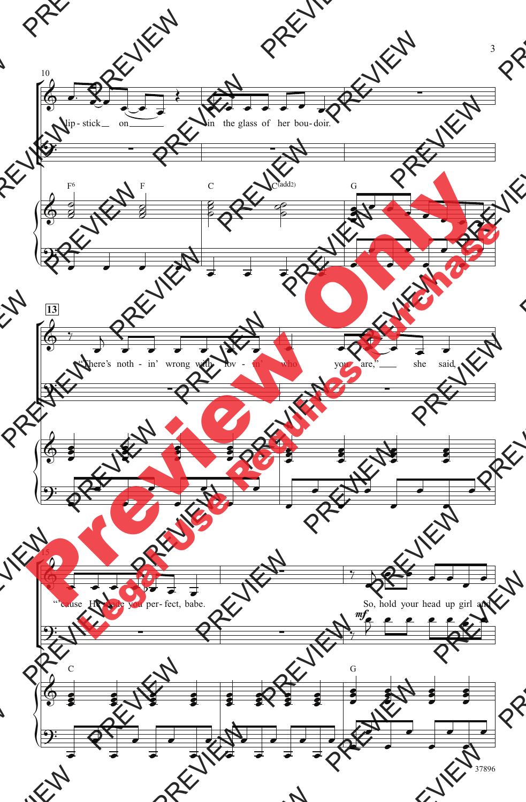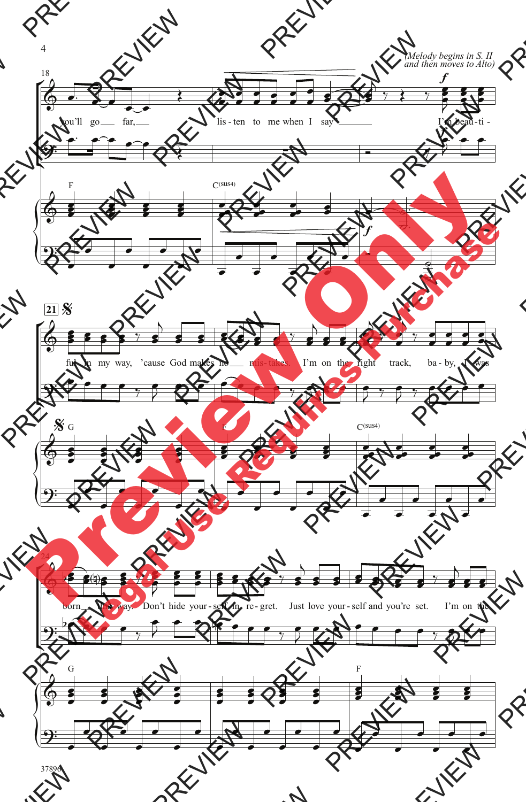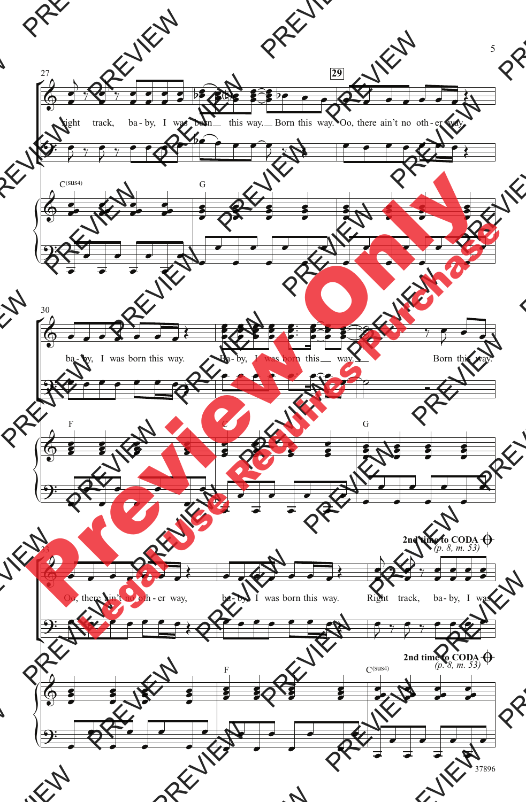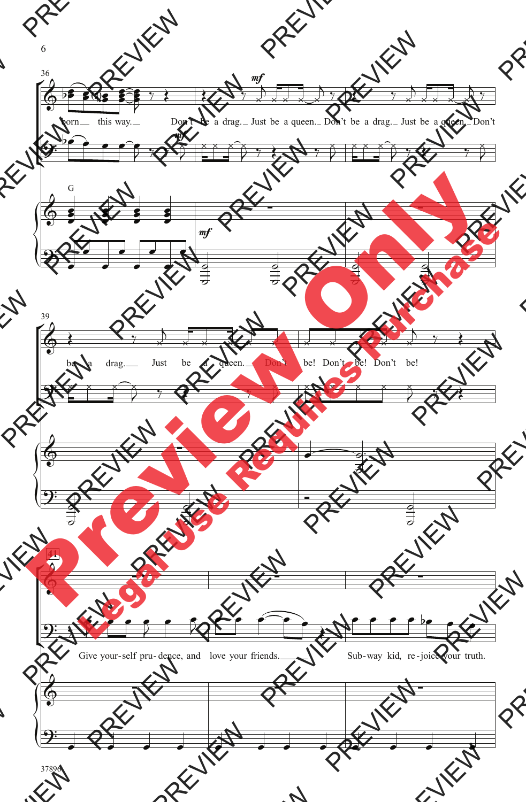

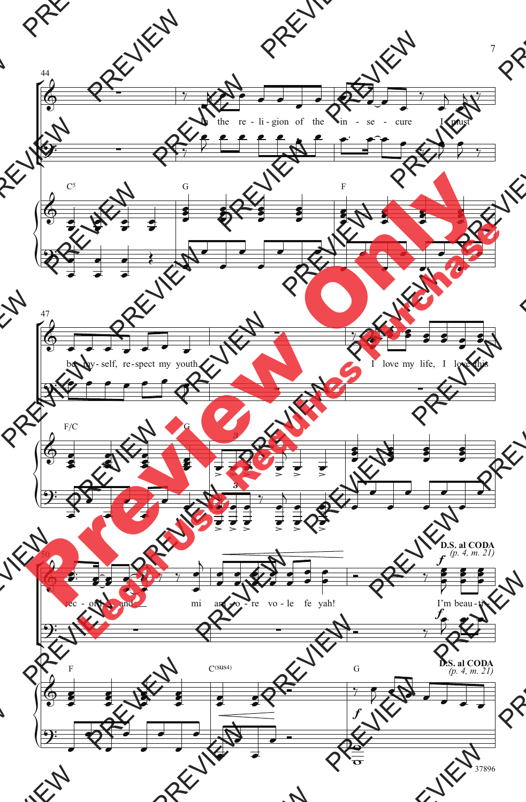

37896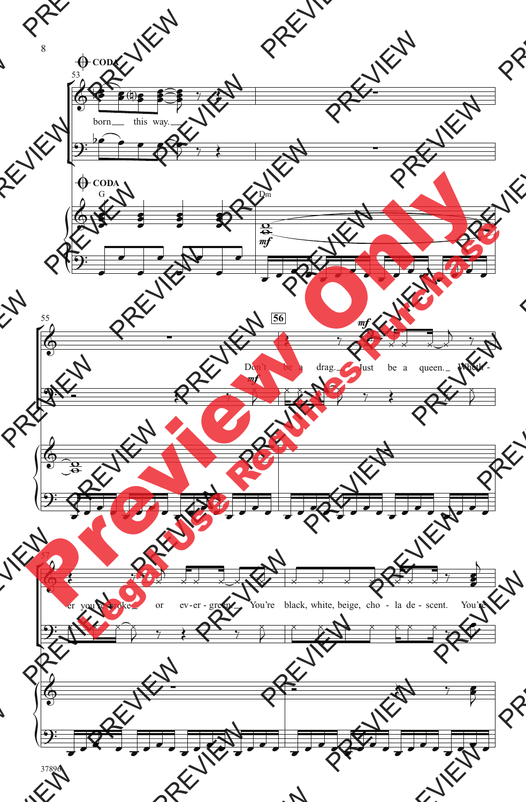

37896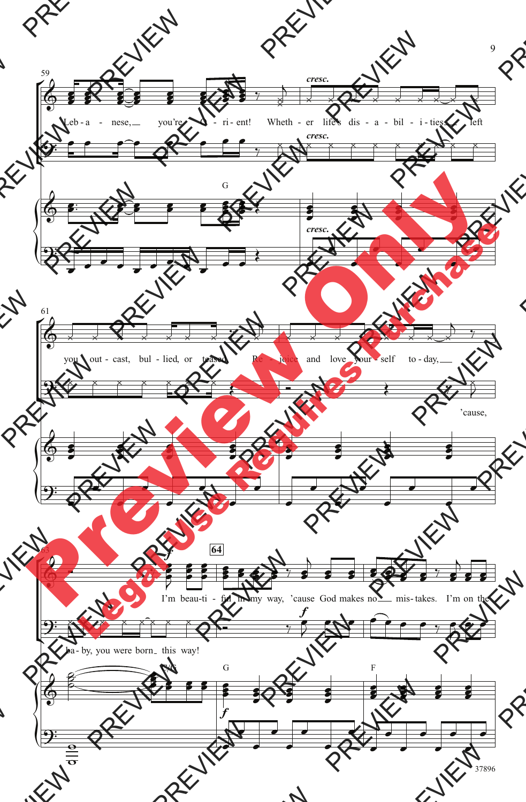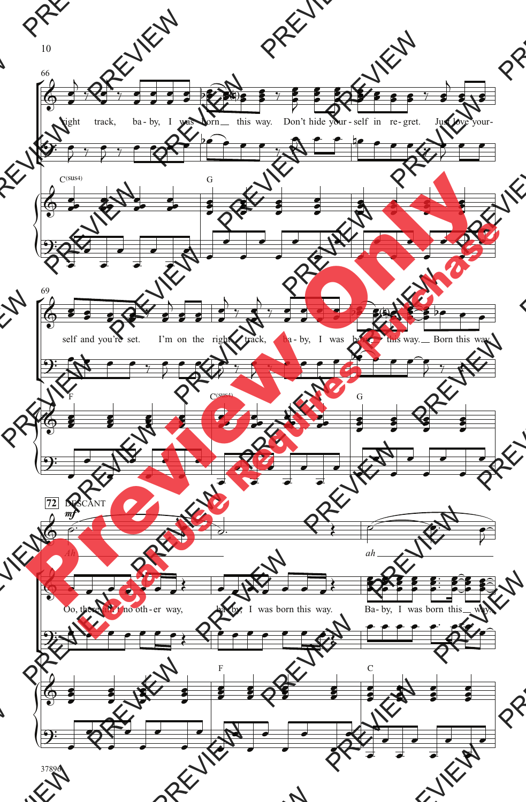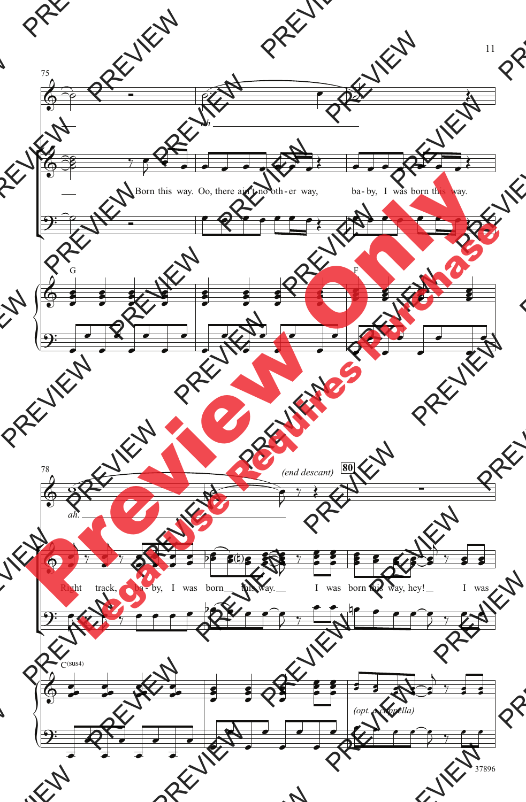